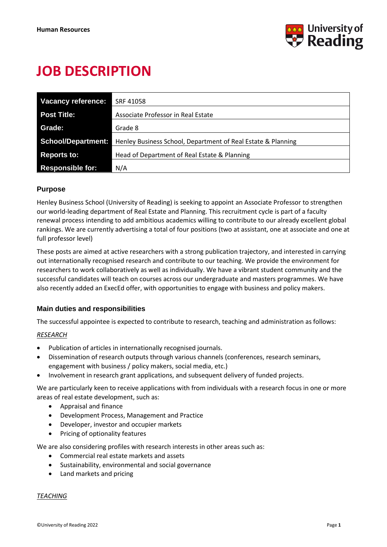

# **JOB DESCRIPTION**

| <b>Vacancy reference:</b> | SRF 41058                                                    |
|---------------------------|--------------------------------------------------------------|
| <b>Post Title:</b>        | Associate Professor in Real Estate                           |
| Grade:                    | Grade 8                                                      |
| <b>School/Department:</b> | Henley Business School, Department of Real Estate & Planning |
| <b>Reports to:</b>        | Head of Department of Real Estate & Planning                 |
| <b>Responsible for:</b>   | N/A                                                          |

## **Purpose**

Henley Business School (University of Reading) is seeking to appoint an Associate Professor to strengthen our world-leading department of Real Estate and Planning. This recruitment cycle is part of a faculty renewal process intending to add ambitious academics willing to contribute to our already excellent global rankings. We are currently advertising a total of four positions (two at assistant, one at associate and one at full professor level)

These posts are aimed at active researchers with a strong publication trajectory, and interested in carrying out internationally recognised research and contribute to our teaching. We provide the environment for researchers to work collaboratively as well as individually. We have a vibrant student community and the successful candidates will teach on courses across our undergraduate and masters programmes. We have also recently added an ExecEd offer, with opportunities to engage with business and policy makers.

## **Main duties and responsibilities**

The successful appointee is expected to contribute to research, teaching and administration as follows:

## *RESEARCH*

- Publication of articles in internationally recognised journals.
- Dissemination of research outputs through various channels (conferences, research seminars, engagement with business / policy makers, social media, etc.)
- Involvement in research grant applications, and subsequent delivery of funded projects.

We are particularly keen to receive applications with from individuals with a research focus in one or more areas of real estate development, such as:

- Appraisal and finance
- Development Process, Management and Practice
- Developer, investor and occupier markets
- Pricing of optionality features

We are also considering profiles with research interests in other areas such as:

- Commercial real estate markets and assets
- Sustainability, environmental and social governance
- Land markets and pricing

*TEACHING*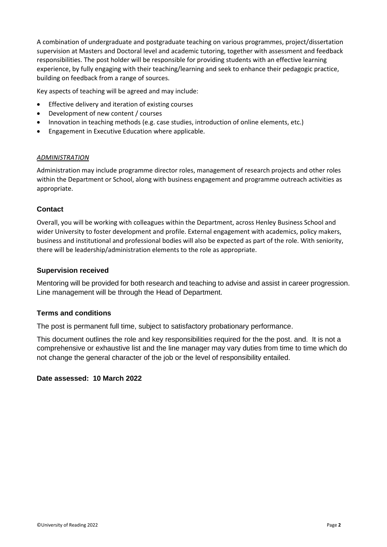A combination of undergraduate and postgraduate teaching on various programmes, project/dissertation supervision at Masters and Doctoral level and academic tutoring, together with assessment and feedback responsibilities. The post holder will be responsible for providing students with an effective learning experience, by fully engaging with their teaching/learning and seek to enhance their pedagogic practice, building on feedback from a range of sources.

Key aspects of teaching will be agreed and may include:

- Effective delivery and iteration of existing courses
- Development of new content / courses
- Innovation in teaching methods (e.g. case studies, introduction of online elements, etc.)
- Engagement in Executive Education where applicable.

#### *ADMINISTRATION*

Administration may include programme director roles, management of research projects and other roles within the Department or School, along with business engagement and programme outreach activities as appropriate.

### **Contact**

Overall, you will be working with colleagues within the Department, across Henley Business School and wider University to foster development and profile. External engagement with academics, policy makers, business and institutional and professional bodies will also be expected as part of the role. With seniority, there will be leadership/administration elements to the role as appropriate.

### **Supervision received**

Mentoring will be provided for both research and teaching to advise and assist in career progression. Line management will be through the Head of Department.

### **Terms and conditions**

The post is permanent full time, subject to satisfactory probationary performance.

This document outlines the role and key responsibilities required for the the post. and. It is not a comprehensive or exhaustive list and the line manager may vary duties from time to time which do not change the general character of the job or the level of responsibility entailed.

### **Date assessed: 10 March 2022**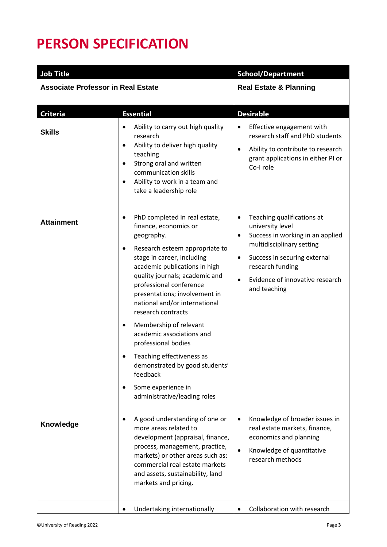## **PERSON SPECIFICATION**

| <b>Job Title</b><br><b>Associate Professor in Real Estate</b> |                                                                                                                                                                                                                                                                                                                                                                                                                                                                                                                                                                                       | <b>School/Department</b>                                                                                                                                                                                                                                                   |  |
|---------------------------------------------------------------|---------------------------------------------------------------------------------------------------------------------------------------------------------------------------------------------------------------------------------------------------------------------------------------------------------------------------------------------------------------------------------------------------------------------------------------------------------------------------------------------------------------------------------------------------------------------------------------|----------------------------------------------------------------------------------------------------------------------------------------------------------------------------------------------------------------------------------------------------------------------------|--|
|                                                               |                                                                                                                                                                                                                                                                                                                                                                                                                                                                                                                                                                                       | <b>Real Estate &amp; Planning</b>                                                                                                                                                                                                                                          |  |
| <b>Criteria</b>                                               | <b>Essential</b>                                                                                                                                                                                                                                                                                                                                                                                                                                                                                                                                                                      | <b>Desirable</b>                                                                                                                                                                                                                                                           |  |
| <b>Skills</b>                                                 | Ability to carry out high quality<br>$\bullet$<br>research<br>Ability to deliver high quality<br>$\bullet$<br>teaching<br>Strong oral and written<br>$\bullet$<br>communication skills<br>Ability to work in a team and<br>$\bullet$<br>take a leadership role                                                                                                                                                                                                                                                                                                                        | Effective engagement with<br>$\bullet$<br>research staff and PhD students<br>Ability to contribute to research<br>$\bullet$<br>grant applications in either PI or<br>Co-I role                                                                                             |  |
| <b>Attainment</b>                                             | PhD completed in real estate,<br>$\bullet$<br>finance, economics or<br>geography.<br>Research esteem appropriate to<br>٠<br>stage in career, including<br>academic publications in high<br>quality journals; academic and<br>professional conference<br>presentations; involvement in<br>national and/or international<br>research contracts<br>Membership of relevant<br>$\bullet$<br>academic associations and<br>professional bodies<br>Teaching effectiveness as<br>demonstrated by good students'<br>feedback<br>Some experience in<br>$\bullet$<br>administrative/leading roles | Teaching qualifications at<br>$\bullet$<br>university level<br>Success in working in an applied<br>$\bullet$<br>multidisciplinary setting<br>Success in securing external<br>$\bullet$<br>research funding<br>Evidence of innovative research<br>$\bullet$<br>and teaching |  |
| <b>Knowledge</b>                                              | A good understanding of one or<br>$\bullet$<br>more areas related to<br>development (appraisal, finance,<br>process, management, practice,<br>markets) or other areas such as:<br>commercial real estate markets<br>and assets, sustainability, land<br>markets and pricing.                                                                                                                                                                                                                                                                                                          | Knowledge of broader issues in<br>٠<br>real estate markets, finance,<br>economics and planning<br>Knowledge of quantitative<br>$\bullet$<br>research methods                                                                                                               |  |
|                                                               | Undertaking internationally                                                                                                                                                                                                                                                                                                                                                                                                                                                                                                                                                           | Collaboration with research                                                                                                                                                                                                                                                |  |